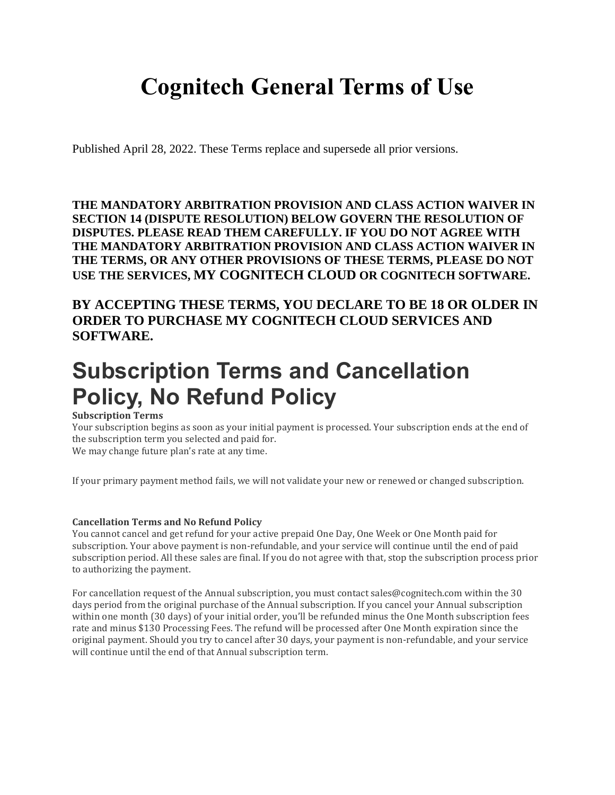# **Cognitech General Terms of Use**

Published April 28, 2022. These Terms replace and supersede all prior versions.

**THE MANDATORY ARBITRATION PROVISION AND CLASS ACTION WAIVER IN SECTION 14 (DISPUTE RESOLUTION) BELOW GOVERN THE RESOLUTION OF DISPUTES. PLEASE READ THEM CAREFULLY. IF YOU DO NOT AGREE WITH THE MANDATORY ARBITRATION PROVISION AND CLASS ACTION WAIVER IN THE TERMS, OR ANY OTHER PROVISIONS OF THESE TERMS, PLEASE DO NOT USE THE SERVICES, MY COGNITECH CLOUD OR COGNITECH SOFTWARE.**

**BY ACCEPTING THESE TERMS, YOU DECLARE TO BE 18 OR OLDER IN ORDER TO PURCHASE MY COGNITECH CLOUD SERVICES AND SOFTWARE.**

# **Subscription Terms and Cancellation Policy, No Refund Policy**

#### **Subscription Terms**

Your subscription begins as soon as your initial payment is processed. Your subscription ends at the end of the subscription term you selected and paid for. We may change future plan's rate at any time.

If your primary payment method fails, we will not validate your new or renewed or changed subscription.

#### **Cancellation Terms and No Refund Policy**

You cannot cancel and get refund for your active prepaid One Day, One Week or One Month paid for subscription. Your above payment is non-refundable, and your service will continue until the end of paid subscription period. All these sales are final. If you do not agree with that, stop the subscription process prior to authorizing the payment.

For cancellation request of the Annual subscription, you must contact sales@cognitech.com within the 30 days period from the original purchase of the Annual subscription. If you cancel your Annual subscription within one month (30 days) of your initial order, you'll be refunded minus the One Month subscription fees rate and minus \$130 Processing Fees. The refund will be processed after One Month expiration since the original payment. Should you try to cancel after 30 days, your payment is non-refundable, and your service will continue until the end of that Annual subscription term.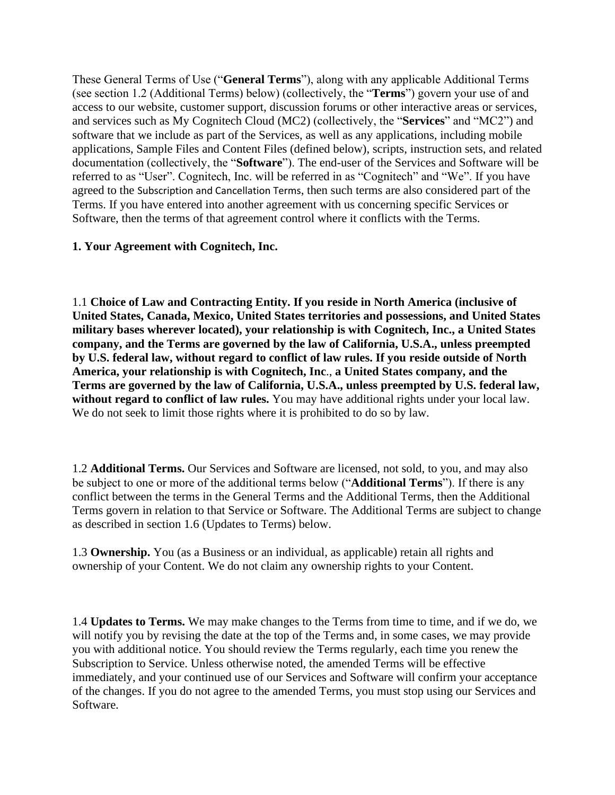These General Terms of Use ("**General Terms**"), along with any applicable Additional Terms (see section 1.2 (Additional Terms) below) (collectively, the "**Terms**") govern your use of and access to our website, customer support, discussion forums or other interactive areas or services, and services such as My Cognitech Cloud (MC2) (collectively, the "**Services**" and "MC2") and software that we include as part of the Services, as well as any applications, including mobile applications, Sample Files and Content Files (defined below), scripts, instruction sets, and related documentation (collectively, the "**Software**"). The end-user of the Services and Software will be referred to as "User". Cognitech, Inc. will be referred in as "Cognitech" and "We". If you have agreed to the Subscription and Cancellation Terms, then such terms are also considered part of the Terms. If you have entered into another agreement with us concerning specific Services or Software, then the terms of that agreement control where it conflicts with the Terms.

## **1. Your Agreement with Cognitech, Inc.**

1.1 **Choice of Law and Contracting Entity. If you reside in North America (inclusive of United States, Canada, Mexico, United States territories and possessions, and United States military bases wherever located), your relationship is with Cognitech, Inc., a United States company, and the Terms are governed by the law of California, U.S.A., unless preempted by U.S. federal law, without regard to conflict of law rules. If you reside outside of North America, your relationship is with Cognitech, Inc**., **a United States company, and the Terms are governed by the law of California, U.S.A., unless preempted by U.S. federal law,**  without regard to conflict of law rules. You may have additional rights under your local law. We do not seek to limit those rights where it is prohibited to do so by law.

1.2 **Additional Terms.** Our Services and Software are licensed, not sold, to you, and may also be subject to one or more of the additional terms below ("**Additional Terms**"). If there is any conflict between the terms in the General Terms and the Additional Terms, then the Additional Terms govern in relation to that Service or Software. The Additional Terms are subject to change as described in section 1.6 (Updates to Terms) below.

1.3 **Ownership.** You (as a Business or an individual, as applicable) retain all rights and ownership of your Content. We do not claim any ownership rights to your Content.

1.4 **Updates to Terms.** We may make changes to the Terms from time to time, and if we do, we will notify you by revising the date at the top of the Terms and, in some cases, we may provide you with additional notice. You should review the Terms regularly, each time you renew the Subscription to Service. Unless otherwise noted, the amended Terms will be effective immediately, and your continued use of our Services and Software will confirm your acceptance of the changes. If you do not agree to the amended Terms, you must stop using our Services and Software.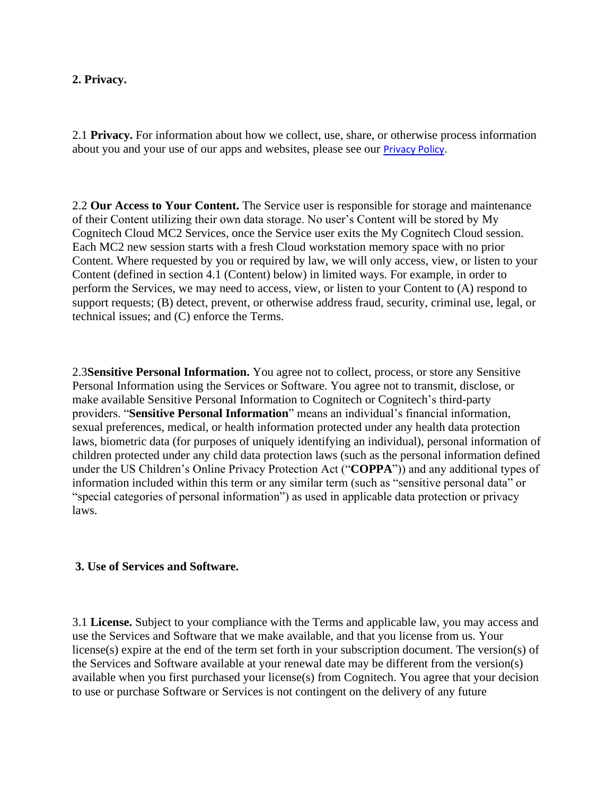#### **2. Privacy.**

2.1 **Privacy.** For information about how we collect, use, share, or otherwise process information about you and your use of our apps and websites, please see our [Privacy Policy.](https://cognitech.com/PDF/Privacy.pdf)

2.2 **Our Access to Your Content.** The Service user is responsible for storage and maintenance of their Content utilizing their own data storage. No user's Content will be stored by My Cognitech Cloud MC2 Services, once the Service user exits the My Cognitech Cloud session. Each MC2 new session starts with a fresh Cloud workstation memory space with no prior Content. Where requested by you or required by law, we will only access, view, or listen to your Content (defined in section 4.1 (Content) below) in limited ways. For example, in order to perform the Services, we may need to access, view, or listen to your Content to (A) respond to support requests; (B) detect, prevent, or otherwise address fraud, security, criminal use, legal, or technical issues; and (C) enforce the Terms.

2.3**Sensitive Personal Information.** You agree not to collect, process, or store any Sensitive Personal Information using the Services or Software. You agree not to transmit, disclose, or make available Sensitive Personal Information to Cognitech or Cognitech's third-party providers. "**Sensitive Personal Information**" means an individual's financial information, sexual preferences, medical, or health information protected under any health data protection laws, biometric data (for purposes of uniquely identifying an individual), personal information of children protected under any child data protection laws (such as the personal information defined under the US Children's Online Privacy Protection Act ("**COPPA**")) and any additional types of information included within this term or any similar term (such as "sensitive personal data" or "special categories of personal information") as used in applicable data protection or privacy laws.

## **3. Use of Services and Software.**

3.1 **License.** Subject to your compliance with the Terms and applicable law, you may access and use the Services and Software that we make available, and that you license from us. Your license(s) expire at the end of the term set forth in your subscription document. The version(s) of the Services and Software available at your renewal date may be different from the version(s) available when you first purchased your license(s) from Cognitech. You agree that your decision to use or purchase Software or Services is not contingent on the delivery of any future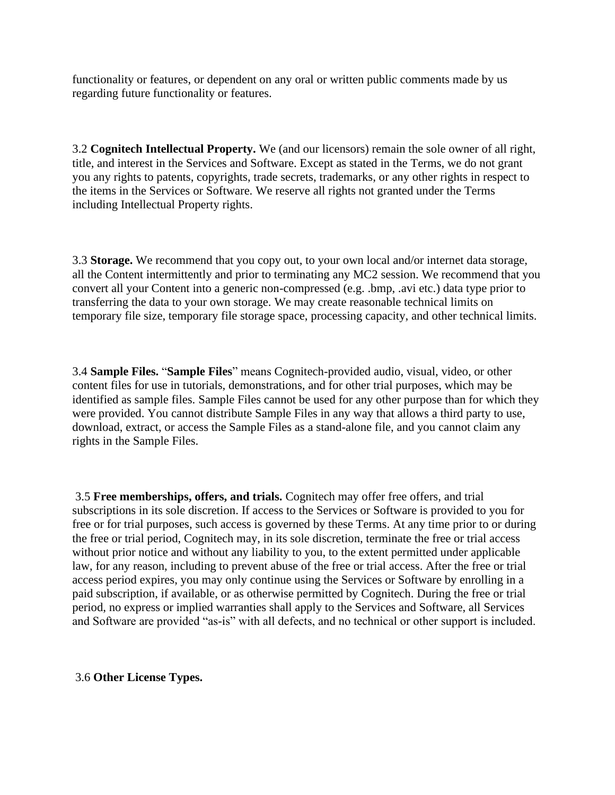functionality or features, or dependent on any oral or written public comments made by us regarding future functionality or features.

3.2 **Cognitech Intellectual Property.** We (and our licensors) remain the sole owner of all right, title, and interest in the Services and Software. Except as stated in the Terms, we do not grant you any rights to patents, copyrights, trade secrets, trademarks, or any other rights in respect to the items in the Services or Software. We reserve all rights not granted under the Terms including Intellectual Property rights.

3.3 **Storage.** We recommend that you copy out, to your own local and/or internet data storage, all the Content intermittently and prior to terminating any MC2 session. We recommend that you convert all your Content into a generic non-compressed (e.g. .bmp, .avi etc.) data type prior to transferring the data to your own storage. We may create reasonable technical limits on temporary file size, temporary file storage space, processing capacity, and other technical limits.

3.4 **Sample Files.** "**Sample Files**" means Cognitech-provided audio, visual, video, or other content files for use in tutorials, demonstrations, and for other trial purposes, which may be identified as sample files. Sample Files cannot be used for any other purpose than for which they were provided. You cannot distribute Sample Files in any way that allows a third party to use, download, extract, or access the Sample Files as a stand-alone file, and you cannot claim any rights in the Sample Files.

3.5 **Free memberships, offers, and trials.** Cognitech may offer free offers, and trial subscriptions in its sole discretion. If access to the Services or Software is provided to you for free or for trial purposes, such access is governed by these Terms. At any time prior to or during the free or trial period, Cognitech may, in its sole discretion, terminate the free or trial access without prior notice and without any liability to you, to the extent permitted under applicable law, for any reason, including to prevent abuse of the free or trial access. After the free or trial access period expires, you may only continue using the Services or Software by enrolling in a paid subscription, if available, or as otherwise permitted by Cognitech. During the free or trial period, no express or implied warranties shall apply to the Services and Software, all Services and Software are provided "as-is" with all defects, and no technical or other support is included.

## 3.6 **Other License Types.**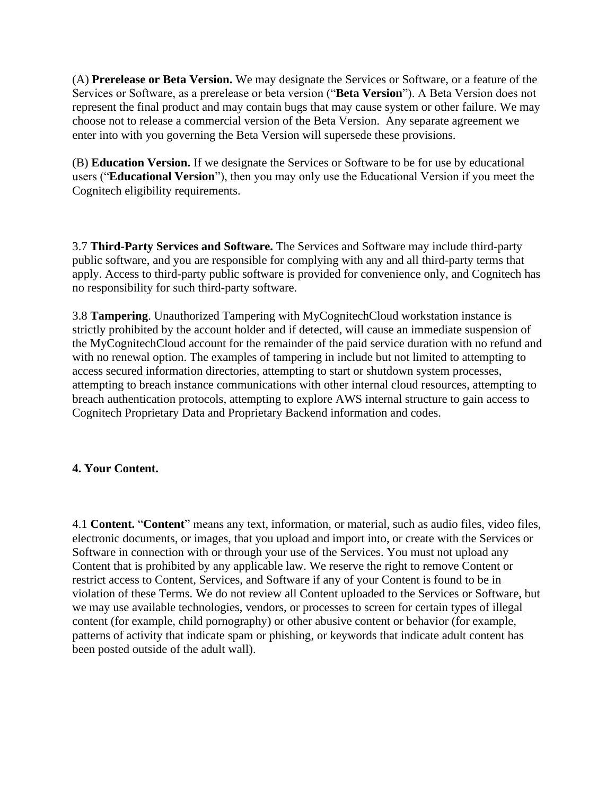(A) **Prerelease or Beta Version.** We may designate the Services or Software, or a feature of the Services or Software, as a prerelease or beta version ("**Beta Version**"). A Beta Version does not represent the final product and may contain bugs that may cause system or other failure. We may choose not to release a commercial version of the Beta Version. Any separate agreement we enter into with you governing the Beta Version will supersede these provisions.

(B) **Education Version.** If we designate the Services or Software to be for use by educational users ("**Educational Version**"), then you may only use the Educational Version if you meet the Cognitech eligibility requirements.

3.7 **Third-Party Services and Software.** The Services and Software may include third-party public software, and you are responsible for complying with any and all third-party terms that apply. Access to third-party public software is provided for convenience only, and Cognitech has no responsibility for such third-party software.

3.8 **Tampering**. Unauthorized Tampering with MyCognitechCloud workstation instance is strictly prohibited by the account holder and if detected, will cause an immediate suspension of the MyCognitechCloud account for the remainder of the paid service duration with no refund and with no renewal option. The examples of tampering in include but not limited to attempting to access secured information directories, attempting to start or shutdown system processes, attempting to breach instance communications with other internal cloud resources, attempting to breach authentication protocols, attempting to explore AWS internal structure to gain access to Cognitech Proprietary Data and Proprietary Backend information and codes.

## **4. Your Content.**

4.1 **Content.** "**Content**" means any text, information, or material, such as audio files, video files, electronic documents, or images, that you upload and import into, or create with the Services or Software in connection with or through your use of the Services. You must not upload any Content that is prohibited by any applicable law. We reserve the right to remove Content or restrict access to Content, Services, and Software if any of your Content is found to be in violation of these Terms. We do not review all Content uploaded to the Services or Software, but we may use available technologies, vendors, or processes to screen for certain types of illegal content (for example, child pornography) or other abusive content or behavior (for example, patterns of activity that indicate spam or phishing, or keywords that indicate adult content has been posted outside of the adult wall).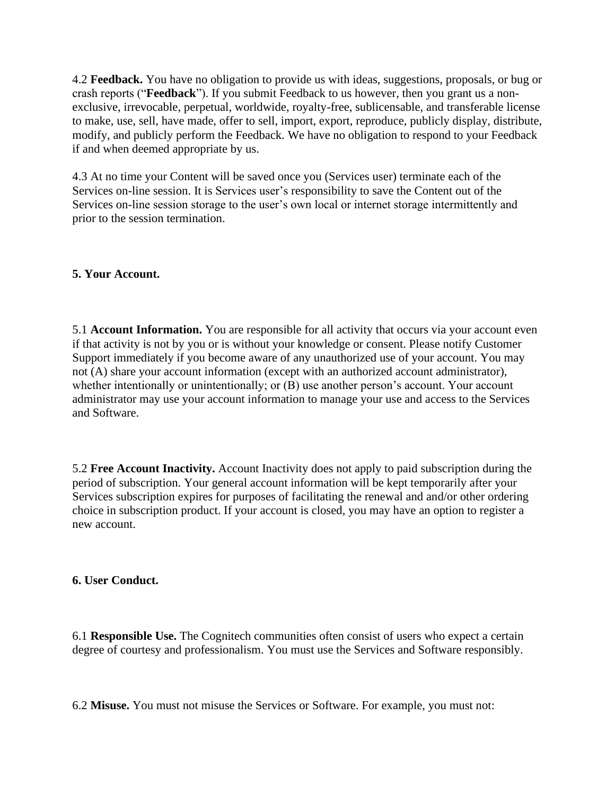4.2 **Feedback.** You have no obligation to provide us with ideas, suggestions, proposals, or bug or crash reports ("**Feedback**"). If you submit Feedback to us however, then you grant us a nonexclusive, irrevocable, perpetual, worldwide, royalty-free, sublicensable, and transferable license to make, use, sell, have made, offer to sell, import, export, reproduce, publicly display, distribute, modify, and publicly perform the Feedback. We have no obligation to respond to your Feedback if and when deemed appropriate by us.

4.3 At no time your Content will be saved once you (Services user) terminate each of the Services on-line session. It is Services user's responsibility to save the Content out of the Services on-line session storage to the user's own local or internet storage intermittently and prior to the session termination.

## **5. Your Account.**

5.1 **Account Information.** You are responsible for all activity that occurs via your account even if that activity is not by you or is without your knowledge or consent. Please notify Customer Support immediately if you become aware of any unauthorized use of your account. You may not (A) share your account information (except with an authorized account administrator), whether intentionally or unintentionally; or  $(B)$  use another person's account. Your account administrator may use your account information to manage your use and access to the Services and Software.

5.2 **Free Account Inactivity.** Account Inactivity does not apply to paid subscription during the period of subscription. Your general account information will be kept temporarily after your Services subscription expires for purposes of facilitating the renewal and and/or other ordering choice in subscription product. If your account is closed, you may have an option to register a new account.

## **6. User Conduct.**

6.1 **Responsible Use.** The Cognitech communities often consist of users who expect a certain degree of courtesy and professionalism. You must use the Services and Software responsibly.

6.2 **Misuse.** You must not misuse the Services or Software. For example, you must not: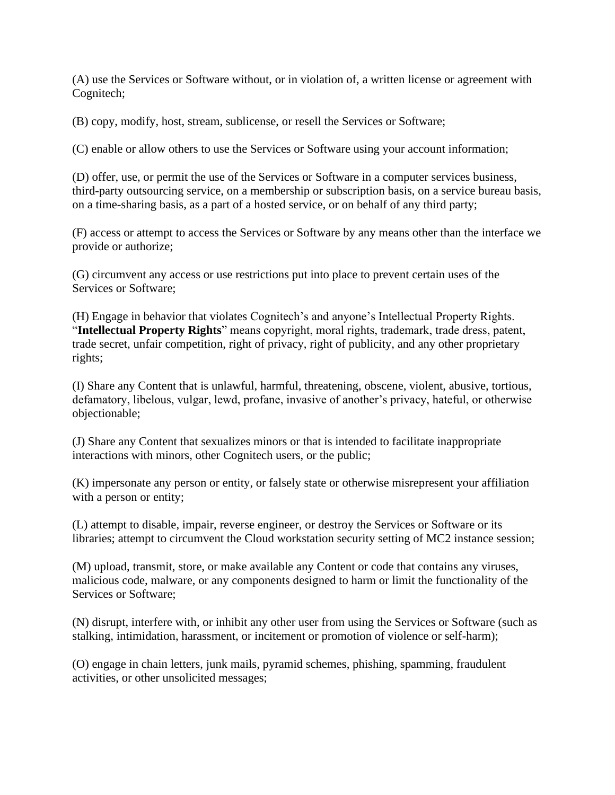(A) use the Services or Software without, or in violation of, a written license or agreement with Cognitech;

(B) copy, modify, host, stream, sublicense, or resell the Services or Software;

(C) enable or allow others to use the Services or Software using your account information;

(D) offer, use, or permit the use of the Services or Software in a computer services business, third-party outsourcing service, on a membership or subscription basis, on a service bureau basis, on a time-sharing basis, as a part of a hosted service, or on behalf of any third party;

(F) access or attempt to access the Services or Software by any means other than the interface we provide or authorize;

(G) circumvent any access or use restrictions put into place to prevent certain uses of the Services or Software;

(H) Engage in behavior that violates Cognitech's and anyone's Intellectual Property Rights. "**Intellectual Property Rights**" means copyright, moral rights, trademark, trade dress, patent, trade secret, unfair competition, right of privacy, right of publicity, and any other proprietary rights;

(I) Share any Content that is unlawful, harmful, threatening, obscene, violent, abusive, tortious, defamatory, libelous, vulgar, lewd, profane, invasive of another's privacy, hateful, or otherwise objectionable;

(J) Share any Content that sexualizes minors or that is intended to facilitate inappropriate interactions with minors, other Cognitech users, or the public;

(K) impersonate any person or entity, or falsely state or otherwise misrepresent your affiliation with a person or entity;

(L) attempt to disable, impair, reverse engineer, or destroy the Services or Software or its libraries; attempt to circumvent the Cloud workstation security setting of MC2 instance session;

(M) upload, transmit, store, or make available any Content or code that contains any viruses, malicious code, malware, or any components designed to harm or limit the functionality of the Services or Software;

(N) disrupt, interfere with, or inhibit any other user from using the Services or Software (such as stalking, intimidation, harassment, or incitement or promotion of violence or self-harm);

(O) engage in chain letters, junk mails, pyramid schemes, phishing, spamming, fraudulent activities, or other unsolicited messages;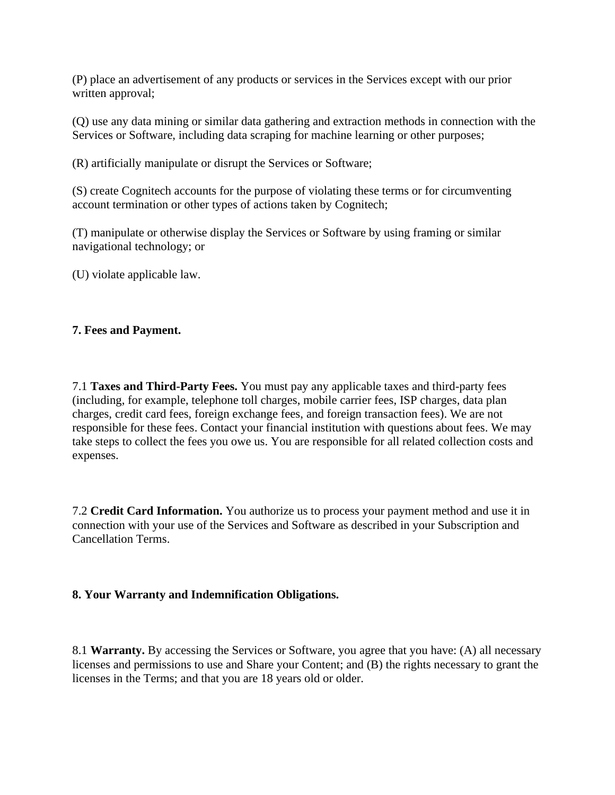(P) place an advertisement of any products or services in the Services except with our prior written approval;

(Q) use any data mining or similar data gathering and extraction methods in connection with the Services or Software, including data scraping for machine learning or other purposes;

(R) artificially manipulate or disrupt the Services or Software;

(S) create Cognitech accounts for the purpose of violating these terms or for circumventing account termination or other types of actions taken by Cognitech;

(T) manipulate or otherwise display the Services or Software by using framing or similar navigational technology; or

(U) violate applicable law.

## **7. Fees and Payment.**

7.1 **Taxes and Third-Party Fees.** You must pay any applicable taxes and third-party fees (including, for example, telephone toll charges, mobile carrier fees, ISP charges, data plan charges, credit card fees, foreign exchange fees, and foreign transaction fees). We are not responsible for these fees. Contact your financial institution with questions about fees. We may take steps to collect the fees you owe us. You are responsible for all related collection costs and expenses.

7.2 **Credit Card Information.** You authorize us to process your payment method and use it in connection with your use of the Services and Software as described in your Subscription and Cancellation Terms.

## **8. Your Warranty and Indemnification Obligations.**

8.1 **Warranty.** By accessing the Services or Software, you agree that you have: (A) all necessary licenses and permissions to use and Share your Content; and (B) the rights necessary to grant the licenses in the Terms; and that you are 18 years old or older.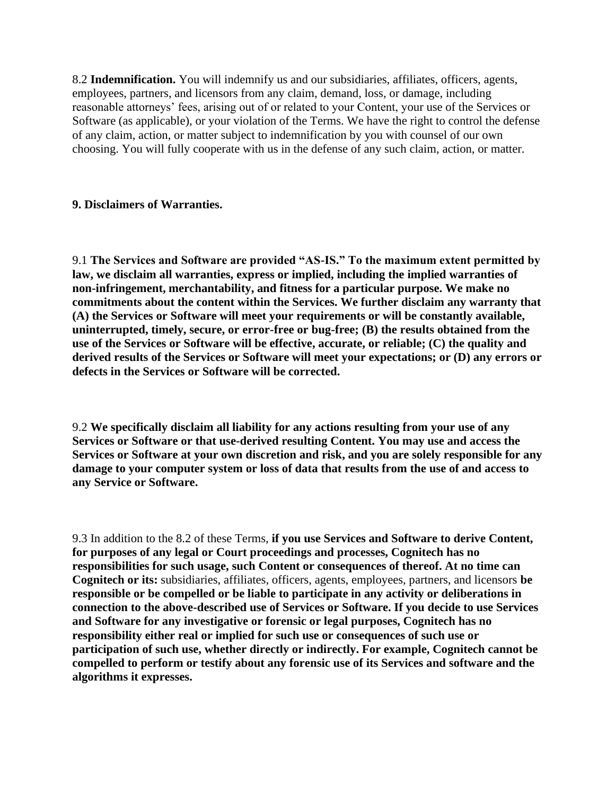8.2 **Indemnification.** You will indemnify us and our subsidiaries, affiliates, officers, agents, employees, partners, and licensors from any claim, demand, loss, or damage, including reasonable attorneys' fees, arising out of or related to your Content, your use of the Services or Software (as applicable), or your violation of the Terms. We have the right to control the defense of any claim, action, or matter subject to indemnification by you with counsel of our own choosing. You will fully cooperate with us in the defense of any such claim, action, or matter.

## **9. Disclaimers of Warranties.**

9.1 **The Services and Software are provided "AS-IS." To the maximum extent permitted by law, we disclaim all warranties, express or implied, including the implied warranties of non-infringement, merchantability, and fitness for a particular purpose. We make no commitments about the content within the Services. We further disclaim any warranty that (A) the Services or Software will meet your requirements or will be constantly available, uninterrupted, timely, secure, or error-free or bug-free; (B) the results obtained from the use of the Services or Software will be effective, accurate, or reliable; (C) the quality and derived results of the Services or Software will meet your expectations; or (D) any errors or defects in the Services or Software will be corrected.**

9.2 **We specifically disclaim all liability for any actions resulting from your use of any Services or Software or that use-derived resulting Content. You may use and access the Services or Software at your own discretion and risk, and you are solely responsible for any damage to your computer system or loss of data that results from the use of and access to any Service or Software.**

9.3 In addition to the 8.2 of these Terms, **if you use Services and Software to derive Content, for purposes of any legal or Court proceedings and processes, Cognitech has no responsibilities for such usage, such Content or consequences of thereof. At no time can Cognitech or its:** subsidiaries, affiliates, officers, agents, employees, partners, and licensors **be responsible or be compelled or be liable to participate in any activity or deliberations in connection to the above-described use of Services or Software. If you decide to use Services and Software for any investigative or forensic or legal purposes, Cognitech has no responsibility either real or implied for such use or consequences of such use or participation of such use, whether directly or indirectly. For example, Cognitech cannot be compelled to perform or testify about any forensic use of its Services and software and the algorithms it expresses.**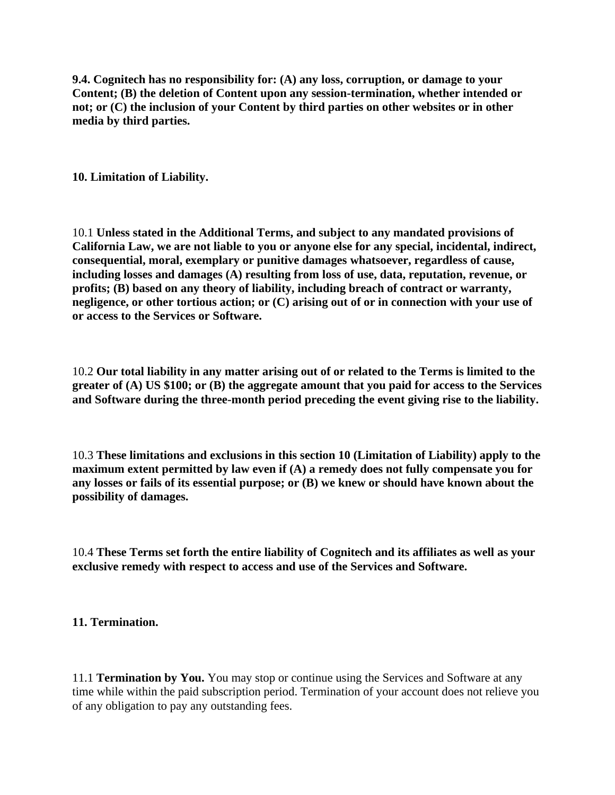**9.4. Cognitech has no responsibility for: (A) any loss, corruption, or damage to your Content; (B) the deletion of Content upon any session-termination, whether intended or not; or (C) the inclusion of your Content by third parties on other websites or in other media by third parties.**

**10. Limitation of Liability.**

10.1 **Unless stated in the Additional Terms, and subject to any mandated provisions of California Law, we are not liable to you or anyone else for any special, incidental, indirect, consequential, moral, exemplary or punitive damages whatsoever, regardless of cause, including losses and damages (A) resulting from loss of use, data, reputation, revenue, or profits; (B) based on any theory of liability, including breach of contract or warranty, negligence, or other tortious action; or (C) arising out of or in connection with your use of or access to the Services or Software.** 

10.2 **Our total liability in any matter arising out of or related to the Terms is limited to the greater of (A) US \$100; or (B) the aggregate amount that you paid for access to the Services and Software during the three-month period preceding the event giving rise to the liability.**

10.3 **These limitations and exclusions in this section 10 (Limitation of Liability) apply to the maximum extent permitted by law even if (A) a remedy does not fully compensate you for any losses or fails of its essential purpose; or (B) we knew or should have known about the possibility of damages.**

10.4 **These Terms set forth the entire liability of Cognitech and its affiliates as well as your exclusive remedy with respect to access and use of the Services and Software.**

**11. Termination.**

11.1 **Termination by You.** You may stop or continue using the Services and Software at any time while within the paid subscription period. Termination of your account does not relieve you of any obligation to pay any outstanding fees.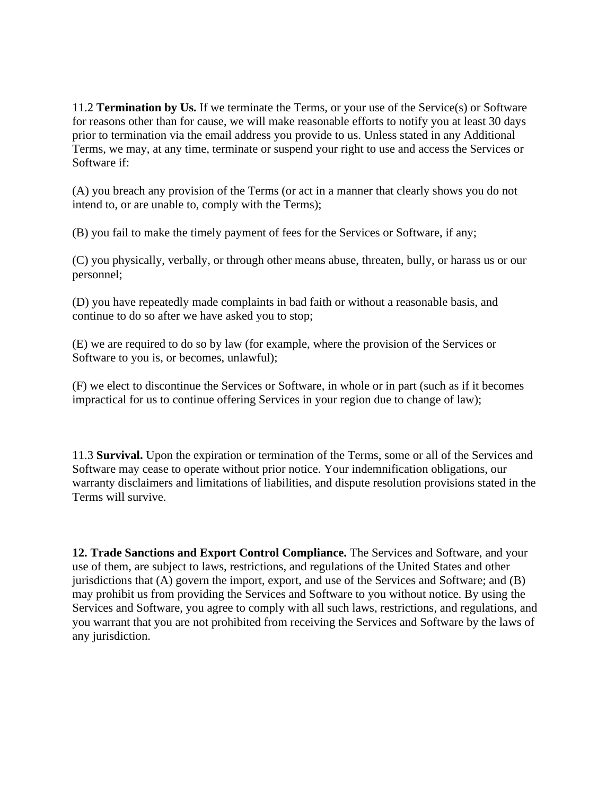11.2 **Termination by Us.** If we terminate the Terms, or your use of the Service(s) or Software for reasons other than for cause, we will make reasonable efforts to notify you at least 30 days prior to termination via the email address you provide to us. Unless stated in any Additional Terms, we may, at any time, terminate or suspend your right to use and access the Services or Software if:

(A) you breach any provision of the Terms (or act in a manner that clearly shows you do not intend to, or are unable to, comply with the Terms);

(B) you fail to make the timely payment of fees for the Services or Software, if any;

(C) you physically, verbally, or through other means abuse, threaten, bully, or harass us or our personnel;

(D) you have repeatedly made complaints in bad faith or without a reasonable basis, and continue to do so after we have asked you to stop;

(E) we are required to do so by law (for example, where the provision of the Services or Software to you is, or becomes, unlawful);

(F) we elect to discontinue the Services or Software, in whole or in part (such as if it becomes impractical for us to continue offering Services in your region due to change of law);

11.3 **Survival.** Upon the expiration or termination of the Terms, some or all of the Services and Software may cease to operate without prior notice. Your indemnification obligations, our warranty disclaimers and limitations of liabilities, and dispute resolution provisions stated in the Terms will survive.

**12. Trade Sanctions and Export Control Compliance.** The Services and Software, and your use of them, are subject to laws, restrictions, and regulations of the United States and other jurisdictions that  $(A)$  govern the import, export, and use of the Services and Software; and  $(B)$ may prohibit us from providing the Services and Software to you without notice. By using the Services and Software, you agree to comply with all such laws, restrictions, and regulations, and you warrant that you are not prohibited from receiving the Services and Software by the laws of any jurisdiction.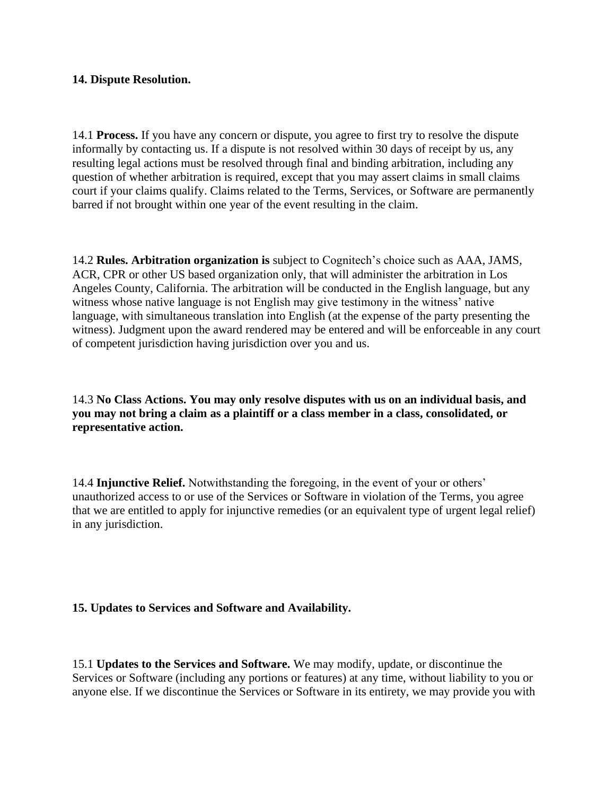## **14. Dispute Resolution.**

14.1 **Process.** If you have any concern or dispute, you agree to first try to resolve the dispute informally by contacting us. If a dispute is not resolved within 30 days of receipt by us, any resulting legal actions must be resolved through final and binding arbitration, including any question of whether arbitration is required, except that you may assert claims in small claims court if your claims qualify. Claims related to the Terms, Services, or Software are permanently barred if not brought within one year of the event resulting in the claim.

14.2 **Rules. Arbitration organization is** subject to Cognitech's choice such as AAA, JAMS, ACR, CPR or other US based organization only, that will administer the arbitration in Los Angeles County, California. The arbitration will be conducted in the English language, but any witness whose native language is not English may give testimony in the witness' native language, with simultaneous translation into English (at the expense of the party presenting the witness). Judgment upon the award rendered may be entered and will be enforceable in any court of competent jurisdiction having jurisdiction over you and us.

14.3 **No Class Actions. You may only resolve disputes with us on an individual basis, and you may not bring a claim as a plaintiff or a class member in a class, consolidated, or representative action.**

14.4 **Injunctive Relief.** Notwithstanding the foregoing, in the event of your or others' unauthorized access to or use of the Services or Software in violation of the Terms, you agree that we are entitled to apply for injunctive remedies (or an equivalent type of urgent legal relief) in any jurisdiction.

## **15. Updates to Services and Software and Availability.**

15.1 **Updates to the Services and Software.** We may modify, update, or discontinue the Services or Software (including any portions or features) at any time, without liability to you or anyone else. If we discontinue the Services or Software in its entirety, we may provide you with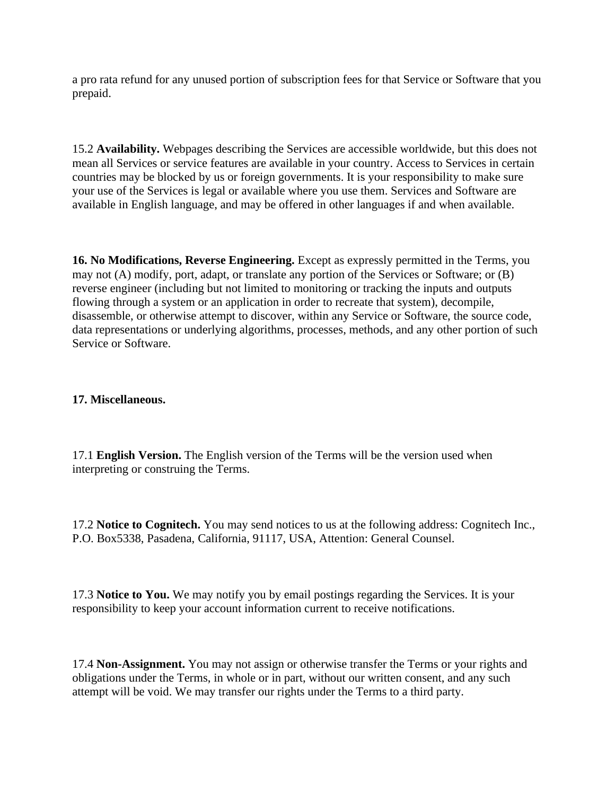a pro rata refund for any unused portion of subscription fees for that Service or Software that you prepaid.

15.2 **Availability.** Webpages describing the Services are accessible worldwide, but this does not mean all Services or service features are available in your country. Access to Services in certain countries may be blocked by us or foreign governments. It is your responsibility to make sure your use of the Services is legal or available where you use them. Services and Software are available in English language, and may be offered in other languages if and when available.

**16. No Modifications, Reverse Engineering.** Except as expressly permitted in the Terms, you may not (A) modify, port, adapt, or translate any portion of the Services or Software; or (B) reverse engineer (including but not limited to monitoring or tracking the inputs and outputs flowing through a system or an application in order to recreate that system), decompile, disassemble, or otherwise attempt to discover, within any Service or Software, the source code, data representations or underlying algorithms, processes, methods, and any other portion of such Service or Software.

## **17. Miscellaneous.**

17.1 **English Version.** The English version of the Terms will be the version used when interpreting or construing the Terms.

17.2 **Notice to Cognitech.** You may send notices to us at the following address: Cognitech Inc., P.O. Box5338, Pasadena, California, 91117, USA, Attention: General Counsel.

17.3 **Notice to You.** We may notify you by email postings regarding the Services. It is your responsibility to keep your account information current to receive notifications.

17.4 **Non-Assignment.** You may not assign or otherwise transfer the Terms or your rights and obligations under the Terms, in whole or in part, without our written consent, and any such attempt will be void. We may transfer our rights under the Terms to a third party.